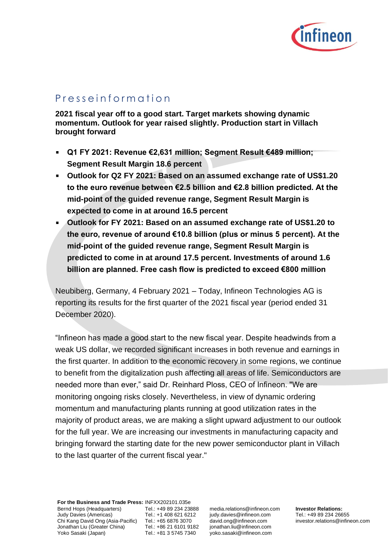

# P r e s s e i n f o r m a t i o n

**2021 fiscal year off to a good start. Target markets showing dynamic momentum. Outlook for year raised slightly. Production start in Villach brought forward**

- **Q1 FY 2021: Revenue €2,631 million; Segment Result €489 million;**   $\blacksquare$ **Segment Result Margin 18.6 percent**
- **Outlook for Q2 FY 2021: Based on an assumed exchange rate of US\$1.20 to the euro revenue between €2.5 billion and €2.8 billion predicted. At the mid-point of the guided revenue range, Segment Result Margin is expected to come in at around 16.5 percent**
- **Outlook for FY 2021: Based on an assumed exchange rate of US\$1.20 to the euro, revenue of around €10.8 billion (plus or minus 5 percent). At the mid-point of the guided revenue range, Segment Result Margin is predicted to come in at around 17.5 percent. Investments of around 1.6 billion are planned. Free cash flow is predicted to exceed €800 million**

Neubiberg, Germany, 4 February 2021 – Today, Infineon Technologies AG is reporting its results for the first quarter of the 2021 fiscal year (period ended 31 December 2020).

"Infineon has made a good start to the new fiscal year. Despite headwinds from a weak US dollar, we recorded significant increases in both revenue and earnings in the first quarter. In addition to the economic recovery in some regions, we continue to benefit from the digitalization push affecting all areas of life. Semiconductors are needed more than ever," said Dr. Reinhard Ploss, CEO of Infineon. "We are monitoring ongoing risks closely. Nevertheless, in view of dynamic ordering momentum and manufacturing plants running at good utilization rates in the majority of product areas, we are making a slight upward adjustment to our outlook for the full year. We are increasing our investments in manufacturing capacity and bringing forward the starting date for the new power semiconductor plant in Villach to the last quarter of the current fiscal year."

**For the Business and Trade Press:** INFXX202101.035e Bernd Hops (Headquarters) Judy Davies (Americas) Chi Kang David Ong (Asia-Pacific) Tel.: +65 6876 3070 Jonathan Liu (Greater China) Yoko Sasaki (Japan)

Tel.: +49 89 234 23888 Tel.: +1 408 621 6212 Tel.: +86 21 6101 9182 Tel.: +81 3 5745 7340

media.relations@infineon.com judy.davies@infineon.com david.ong@infineon.com jonathan.liu@infineon.com yoko.sasaki@infineon.com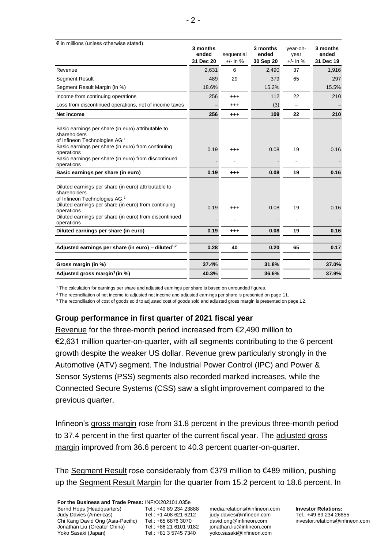| $\epsilon$ in millions (unless otherwise stated)                                                                                                                                        | 3 months  |            | 3 months  | year-on-   | 3 months  |
|-----------------------------------------------------------------------------------------------------------------------------------------------------------------------------------------|-----------|------------|-----------|------------|-----------|
|                                                                                                                                                                                         | ended     | sequential | ended     | year       | ended     |
|                                                                                                                                                                                         | 31 Dec 20 | $+/-$ in % | 30 Sep 20 | $+/-$ in % | 31 Dec 19 |
| Revenue                                                                                                                                                                                 | 2,631     | 6          | 2,490     | 37         | 1,916     |
| <b>Segment Result</b>                                                                                                                                                                   | 489       | 29         | 379       | 65         | 297       |
| Segment Result Margin (in %)                                                                                                                                                            | 18.6%     |            | 15.2%     |            | 15.5%     |
| Income from continuing operations                                                                                                                                                       | 256       | $^{+++}$   | 112       | 22         | 210       |
| Loss from discontinued operations, net of income taxes                                                                                                                                  |           | $^{+++}$   | (3)       |            |           |
| Net income                                                                                                                                                                              | 256       | $^{+++}$   | 109       | 22         | 210       |
| Basic earnings per share (in euro) attributable to<br>shareholders<br>of Infineon Technologies AG: <sup>1</sup>                                                                         |           |            |           |            |           |
| Basic earnings per share (in euro) from continuing<br>operations<br>Basic earnings per share (in euro) from discontinued                                                                | 0.19      | $^{+++}$   | 0.08      | 19         | 0.16      |
| operations<br>Basic earnings per share (in euro)                                                                                                                                        | 0.19      | $^{+++}$   | 0.08      | 19         | 0.16      |
| Diluted earnings per share (in euro) attributable to<br>shareholders<br>of Infineon Technologies AG: <sup>1</sup><br>Diluted earnings per share (in euro) from continuing<br>operations | 0.19      | $^{+++}$   | 0.08      | 19         | 0.16      |
| Diluted earnings per share (in euro) from discontinued<br>operations                                                                                                                    |           |            |           |            |           |
| Diluted earnings per share (in euro)                                                                                                                                                    | 0.19      | $^{+++}$   | 0.08      | 19         | 0.16      |
| Adjusted earnings per share (in euro) - diluted <sup>1,2</sup>                                                                                                                          | 0.28      | 40         | 0.20      | 65         | 0.17      |
| Gross margin (in %)                                                                                                                                                                     | 37.4%     |            | 31.8%     |            | 37.0%     |
| Adjusted gross margin <sup>3</sup> (in %)                                                                                                                                               | 40.3%     |            | 36.6%     |            | 37.9%     |

<sup>1</sup> The calculation for earnings per share and adjusted earnings per share is based on unrounded figures.

<sup>2</sup> The reconciliation of net income to adjusted net income and adjusted earnings per share is presented on page 11.

<sup>3</sup> The reconciliation of cost of goods sold to adjusted cost of goods sold and adjusted gross margin is presented on page 12.

### **Group performance in first quarter of 2021 fiscal year**

Revenue for the three-month period increased from €2,490 million to €2,631 million quarter-on-quarter, with all segments contributing to the 6 percent growth despite the weaker US dollar. Revenue grew particularly strongly in the Automotive (ATV) segment. The Industrial Power Control (IPC) and Power & Sensor Systems (PSS) segments also recorded marked increases, while the Connected Secure Systems (CSS) saw a slight improvement compared to the previous quarter.

Infineon's gross margin rose from 31.8 percent in the previous three-month period to 37.4 percent in the first quarter of the current fiscal year. The adjusted gross margin improved from 36.6 percent to 40.3 percent quarter-on-quarter.

The Segment Result rose considerably from €379 million to €489 million, pushing up the Segment Result Margin for the quarter from 15.2 percent to 18.6 percent. In

Tel.: +49 89 234 23888 Tel.: +1 408 621 6212 Tel.: +86 21 6101 9182 Tel.: +81 3 5745 7340

media.relations@infineon.com judy.davies@infineon.com david.ong@infineon.com jonathan.liu@infineon.com yoko.sasaki@infineon.com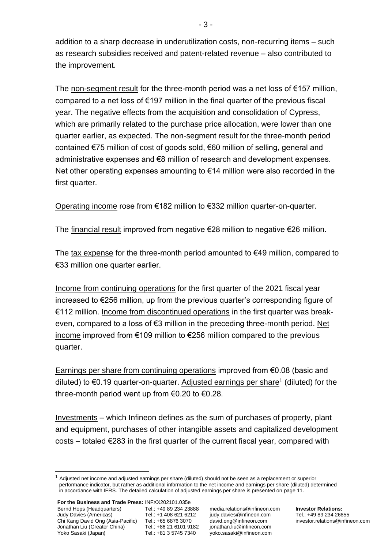addition to a sharp decrease in underutilization costs, non-recurring items – such as research subsidies received and patent-related revenue – also contributed to the improvement.

The non-segment result for the three-month period was a net loss of  $\epsilon$ 157 million, compared to a net loss of €197 million in the final quarter of the previous fiscal year. The negative effects from the acquisition and consolidation of Cypress, which are primarily related to the purchase price allocation, were lower than one quarter earlier, as expected. The non-segment result for the three-month period contained €75 million of cost of goods sold, €60 million of selling, general and administrative expenses and €8 million of research and development expenses. Net other operating expenses amounting to €14 million were also recorded in the first quarter.

Operating income rose from €182 million to €332 million quarter-on-quarter.

The financial result improved from negative €28 million to negative €26 million.

The tax expense for the three-month period amounted to  $€49$  million, compared to €33 million one quarter earlier.

Income from continuing operations for the first quarter of the 2021 fiscal year increased to €256 million, up from the previous quarter's corresponding figure of €112 million. Income from discontinued operations in the first quarter was breakeven, compared to a loss of €3 million in the preceding three-month period. Net income improved from €109 million to €256 million compared to the previous quarter.

Earnings per share from continuing operations improved from €0.08 (basic and diluted) to €0.19 quarter-on-quarter. Adjusted earnings per share<sup>1</sup> (diluted) for the three-month period went up from €0.20 to €0.28.

Investments – which Infineon defines as the sum of purchases of property, plant and equipment, purchases of other intangible assets and capitalized development  $costs - totaled \epsilon$  283 in the first quarter of the current fiscal year, compared with

 $1$  Adjusted net income and adjusted earnings per share (diluted) should not be seen as a replacement or superior performance indicator, but rather as additional information to the net income and earnings per share (diluted) determined in accordance with IFRS. The detailed calculation of adjusted earnings per share is presented on page 11.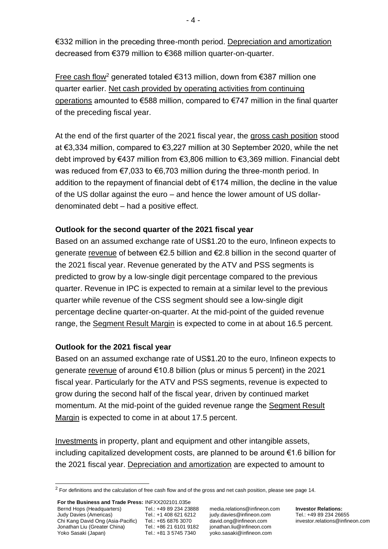€332 million in the preceding three-month period. Depreciation and amortization decreased from €379 million to €368 million quarter-on-quarter.

Free cash flow<sup>2</sup> generated totaled €313 million, down from €387 million one quarter earlier. Net cash provided by operating activities from continuing operations amounted to €588 million, compared to €747 million in the final quarter of the preceding fiscal year.

At the end of the first quarter of the 2021 fiscal year, the gross cash position stood at €3,334 million, compared to €3,227 million at 30 September 2020, while the net debt improved by €437 million from €3,806 million to €3,369 million. Financial debt was reduced from €7,033 to €6,703 million during the three-month period. In addition to the repayment of financial debt of €174 million, the decline in the value of the US dollar against the euro – and hence the lower amount of US dollardenominated debt – had a positive effect.

# **Outlook for the second quarter of the 2021 fiscal year**

Based on an assumed exchange rate of US\$1.20 to the euro, Infineon expects to generate revenue of between €2.5 billion and €2.8 billion in the second quarter of the 2021 fiscal year. Revenue generated by the ATV and PSS segments is predicted to grow by a low-single digit percentage compared to the previous quarter. Revenue in IPC is expected to remain at a similar level to the previous quarter while revenue of the CSS segment should see a low-single digit percentage decline quarter-on-quarter. At the mid-point of the guided revenue range, the Segment Result Margin is expected to come in at about 16.5 percent.

# **Outlook for the 2021 fiscal year**

Based on an assumed exchange rate of US\$1.20 to the euro, Infineon expects to generate revenue of around €10.8 billion (plus or minus 5 percent) in the 2021 fiscal year. Particularly for the ATV and PSS segments, revenue is expected to grow during the second half of the fiscal year, driven by continued market momentum. At the mid-point of the guided revenue range the Segment Result Margin is expected to come in at about 17.5 percent.

Investments in property, plant and equipment and other intangible assets, including capitalized development costs, are planned to be around €1.6 billion for the 2021 fiscal year. Depreciation and amortization are expected to amount to

media.relations@infineon.com judy.davies@infineon.com david.ong@infineon.com jonathan.liu@infineon.com yoko.sasaki@infineon.com

 $2$  For definitions and the calculation of free cash flow and of the gross and net cash position, please see page 14.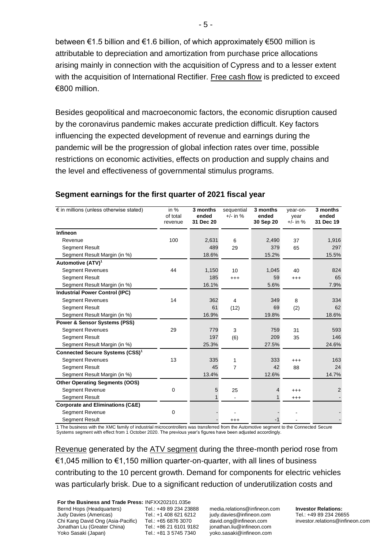between €1.5 billion and €1.6 billion, of which approximately €500 million is attributable to depreciation and amortization from purchase price allocations arising mainly in connection with the acquisition of Cypress and to a lesser extent with the acquisition of International Rectifier. Free cash flow is predicted to exceed €800 million.

Besides geopolitical and macroeconomic factors, the economic disruption caused by the coronavirus pandemic makes accurate prediction difficult. Key factors influencing the expected development of revenue and earnings during the pandemic will be the progression of global infection rates over time, possible restrictions on economic activities, effects on production and supply chains and the level and effectiveness of governmental stimulus programs.

| $\epsilon$ in millions (unless otherwise stated) | in $%$<br>of total<br>revenue | 3 months<br>ended<br>31 Dec 20 | sequential<br>$+/-$ in % | 3 months<br>ended<br>30 Sep 20 | vear-on-<br>year<br>$+/-$ in % | 3 months<br>ended<br>31 Dec 19 |
|--------------------------------------------------|-------------------------------|--------------------------------|--------------------------|--------------------------------|--------------------------------|--------------------------------|
| Infineon                                         |                               |                                |                          |                                |                                |                                |
| Revenue                                          | 100                           | 2,631                          | 6                        | 2,490                          | 37                             | 1,916                          |
| <b>Segment Result</b>                            |                               | 489                            | 29                       | 379                            | 65                             | 297                            |
| Segment Result Margin (in %)                     |                               | 18.6%                          |                          | 15.2%                          |                                | 15.5%                          |
| Automotive (ATV) <sup>1</sup>                    |                               |                                |                          |                                |                                |                                |
| <b>Segment Revenues</b>                          | 44                            | 1,150                          | 10                       | 1,045                          | 40                             | 824                            |
| <b>Segment Result</b>                            |                               | 185                            | $^{+++}$                 | 59                             | $^{+++}$                       | 65                             |
| Segment Result Margin (in %)                     |                               | 16.1%                          |                          | 5.6%                           |                                | 7.9%                           |
| <b>Industrial Power Control (IPC)</b>            |                               |                                |                          |                                |                                |                                |
| <b>Segment Revenues</b>                          | 14                            | 362                            | 4                        | 349                            | 8                              | 334                            |
| Segment Result                                   |                               | 61                             | (12)                     | 69                             | (2)                            | 62                             |
| Segment Result Margin (in %)                     |                               | 16.9%                          |                          | 19.8%                          |                                | 18.6%                          |
| <b>Power &amp; Sensor Systems (PSS)</b>          |                               |                                |                          |                                |                                |                                |
| <b>Segment Revenues</b>                          | 29                            | 779                            | 3                        | 759                            | 31                             | 593                            |
| <b>Segment Result</b>                            |                               | 197                            | (6)                      | 209                            | 35                             | 146                            |
| Segment Result Margin (in %)                     |                               | 25.3%                          |                          | 27.5%                          |                                | 24.6%                          |
| Connected Secure Systems (CSS) <sup>1</sup>      |                               |                                |                          |                                |                                |                                |
| <b>Segment Revenues</b>                          | 13                            | 335                            | 1                        | 333                            | $^{+++}$                       | 163                            |
| <b>Segment Result</b>                            |                               | 45                             | $\overline{7}$           | 42                             | 88                             | 24                             |
| Segment Result Margin (in %)                     |                               | 13.4%                          |                          | 12.6%                          |                                | 14.7%                          |
| <b>Other Operating Segments (OOS)</b>            |                               |                                |                          |                                |                                |                                |
| Segment Revenue                                  | $\mathbf 0$                   | 5                              | 25                       | 4                              | $^{+++}$                       | 2                              |
| <b>Segment Result</b>                            |                               | 1                              |                          | 1                              | $^{+++}$                       |                                |
| <b>Corporate and Eliminations (C&amp;E)</b>      |                               |                                |                          |                                |                                |                                |
| <b>Segment Revenue</b>                           | $\Omega$                      |                                |                          |                                |                                |                                |
| <b>Segment Result</b>                            |                               |                                | $^{+++}$                 | $-1$                           |                                |                                |

# **Segment earnings for the first quarter of 2021 fiscal year**

1 The business with the XMC family of industrial microcontrollers was transferred from the Automotive segment to the Connected Secure Systems segment with effect from 1 October 2020. The previous year's figures have been adjusted accordingly.

Revenue generated by the ATV segment during the three-month period rose from €1,045 million to €1,150 million quarter-on-quarter, with all lines of business contributing to the 10 percent growth. Demand for components for electric vehicles was particularly brisk. Due to a significant reduction of underutilization costs and

**For the Business and Trade Press:** INFXX202101.035e Bernd Hops (Headquarters) Judy Davies (Americas) Chi Kang David Ong (Asia-Pacific) Tel.: +65 6876 3070 Jonathan Liu (Greater China) Yoko Sasaki (Japan)

Tel.: +49 89 234 23888 Tel.: +1 408 621 6212 Tel.: +86 21 6101 9182 Tel.: +81 3 5745 7340

media.relations@infineon.com judy.davies@infineon.com david.ong@infineon.com jonathan.liu@infineon.com yoko.sasaki@infineon.com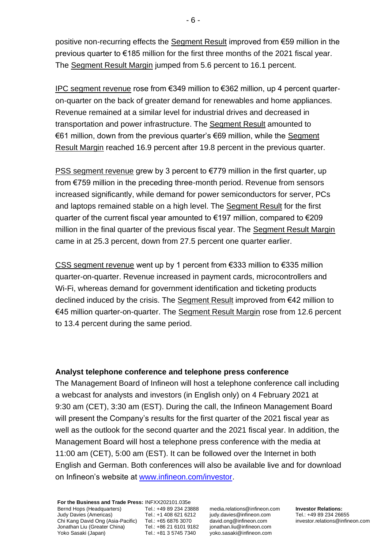positive non-recurring effects the Segment Result improved from €59 million in the previous quarter to €185 million for the first three months of the 2021 fiscal year. The Segment Result Margin jumped from 5.6 percent to 16.1 percent.

IPC segment revenue rose from €349 million to €362 million, up 4 percent quarteron-quarter on the back of greater demand for renewables and home appliances. Revenue remained at a similar level for industrial drives and decreased in transportation and power infrastructure. The Segment Result amounted to €61 million, down from the previous quarter's €69 million, while the Segment Result Margin reached 16.9 percent after 19.8 percent in the previous quarter.

PSS segment revenue grew by 3 percent to €779 million in the first quarter, up from €759 million in the preceding three-month period. Revenue from sensors increased significantly, while demand for power semiconductors for server, PCs and laptops remained stable on a high level. The Segment Result for the first quarter of the current fiscal year amounted to €197 million, compared to €209 million in the final quarter of the previous fiscal year. The Segment Result Margin came in at 25.3 percent, down from 27.5 percent one quarter earlier.

CSS segment revenue went up by 1 percent from €333 million to €335 million quarter-on-quarter. Revenue increased in payment cards, microcontrollers and Wi-Fi, whereas demand for government identification and ticketing products declined induced by the crisis. The Segment Result improved from €42 million to €45 million quarter-on-quarter. The Segment Result Margin rose from 12.6 percent to 13.4 percent during the same period.

# **Analyst telephone conference and telephone press conference**

The Management Board of Infineon will host a telephone conference call including a webcast for analysts and investors (in English only) on 4 February 2021 at 9:30 am (CET), 3:30 am (EST). During the call, the Infineon Management Board will present the Company's results for the first quarter of the 2021 fiscal year as well as the outlook for the second quarter and the 2021 fiscal year. In addition, the Management Board will host a telephone press conference with the media at 11:00 am (CET), 5:00 am (EST). It can be followed over the Internet in both English and German. Both conferences will also be available live and for download on Infineon's website at [www.infineon.com/investor.](http://www.infineon.com/investor)

**For the Business and Trade Press:** INFXX202101.035e Bernd Hops (Headquarters) Judy Davies (Americas) Chi Kang David Ong (Asia-Pacific) Tel.: +65 6876 3070 Jonathan Liu (Greater China) Yoko Sasaki (Japan) Tel.: +49 89 234 23888 Tel.: +1 408 621 6212 Tel.: +86 21 6101 9182 Tel.: +81 3 5745 7340

media.relations@infineon.com judy.davies@infineon.com david.ong@infineon.com jonathan.liu@infineon.com yoko.sasaki@infineon.com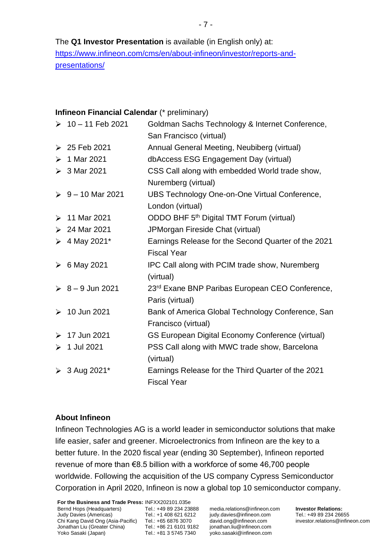The **Q1 Investor Presentation** is available (in English only) at: [https://www.infineon.com/cms/en/about-infineon/investor/reports-and](https://www.infineon.com/cms/en/about-infineon/investor/reports-and-presentations/)[presentations/](https://www.infineon.com/cms/en/about-infineon/investor/reports-and-presentations/)

# **Infineon Financial Calendar** (\* preliminary)

|                       | $\geq 10 - 11$ Feb 2021 | Goldman Sachs Technology & Internet Conference,<br>San Francisco (virtual) |
|-----------------------|-------------------------|----------------------------------------------------------------------------|
| ➤                     | 25 Feb 2021             | Annual General Meeting, Neubiberg (virtual)                                |
|                       |                         |                                                                            |
| $\blacktriangleright$ | 1 Mar 2021              | dbAccess ESG Engagement Day (virtual)                                      |
|                       | $> 3$ Mar 2021          | CSS Call along with embedded World trade show,<br>Nuremberg (virtual)      |
|                       | $\geq 9 - 10$ Mar 2021  | UBS Technology One-on-One Virtual Conference,<br>London (virtual)          |
| ≻                     | 11 Mar 2021             | ODDO BHF 5 <sup>th</sup> Digital TMT Forum (virtual)                       |
|                       | $> 24$ Mar 2021         | JPMorgan Fireside Chat (virtual)                                           |
|                       | → 4 May 2021*           | Earnings Release for the Second Quarter of the 2021                        |
|                       |                         | <b>Fiscal Year</b>                                                         |
|                       | $\geqslant 6$ May 2021  | IPC Call along with PCIM trade show, Nuremberg                             |
|                       |                         | (virtual)                                                                  |
|                       | $\geq 8 - 9$ Jun 2021   | 23 <sup>rd</sup> Exane BNP Paribas European CEO Conference,                |
|                       |                         | Paris (virtual)                                                            |
|                       | $> 10$ Jun 2021         | Bank of America Global Technology Conference, San                          |
|                       |                         | Francisco (virtual)                                                        |
| $\blacktriangleright$ | 17 Jun 2021             | <b>GS European Digital Economy Conference (virtual)</b>                    |
| ➤                     | 1 Jul 2021              | PSS Call along with MWC trade show, Barcelona                              |
|                       |                         | (virtual)                                                                  |
| ➤                     | 3 Aug 2021*             | Earnings Release for the Third Quarter of the 2021                         |
|                       |                         | <b>Fiscal Year</b>                                                         |

# **About Infineon**

Infineon Technologies AG is a world leader in semiconductor solutions that make life easier, safer and greener. Microelectronics from Infineon are the key to a better future. In the 2020 fiscal year (ending 30 September), Infineon reported revenue of more than €8.5 billion with a workforce of some 46,700 people worldwide. Following the acquisition of the US company Cypress Semiconductor Corporation in April 2020, Infineon is now a global top 10 semiconductor company.

**For the Business and Trade Press:** INFXX202101.035e Bernd Hops (Headquarters) Judy Davies (Americas) Chi Kang David Ong (Asia-Pacific) Tel.: +65 6876 3070 Jonathan Liu (Greater China) Yoko Sasaki (Japan)

Tel.: +49 89 234 23888 Tel.: +1 408 621 6212 Tel.: +86 21 6101 9182 Tel.: +81 3 5745 7340

media.relations@infineon.com judy.davies@infineon.com david.ong@infineon.com jonathan.liu@infineon.com yoko.sasaki@infineon.com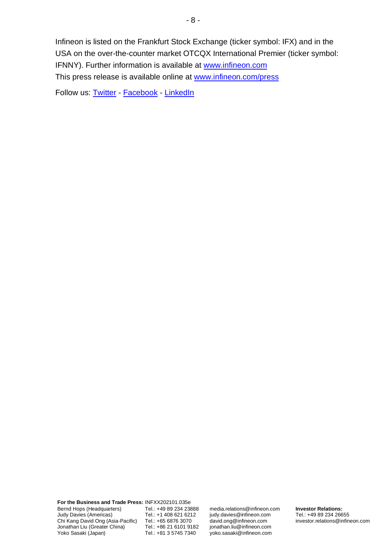Infineon is listed on the Frankfurt Stock Exchange (ticker symbol: IFX) and in the USA on the over-the-counter market OTCQX International Premier (ticker symbol: IFNNY). Further information is available at [www.infineon.com](http://www.infineon.com/) This press release is available online at [www.infineon.com/press](http://www.infineon.com/press)

Follow us: [Twitter](https://twitter.com/Infineon) - [Facebook](https://www.facebook.com/Infineon) - [LinkedIn](https://www.linkedin.com/company-beta/2148/)

**For the Business and Trade Press:** INFXX202101.035e Bernd Hops (Headquarters) Judy Davies (Americas) Chi Kang David Ong (Asia-Pacific) Jonathan Liu (Greater China) Yoko Sasaki (Japan)

Tel.: +49 89 234 23888 Tel.: +1 408 621 6212 Tel.: +65 6876 3070 Tel.: +86 21 6101 9182 Tel.: +81 3 5745 7340

media.relations@infineon.com judy.davies@infineon.com david.ong@infineon.com jonathan.liu@infineon.com yoko.sasaki@infineon.com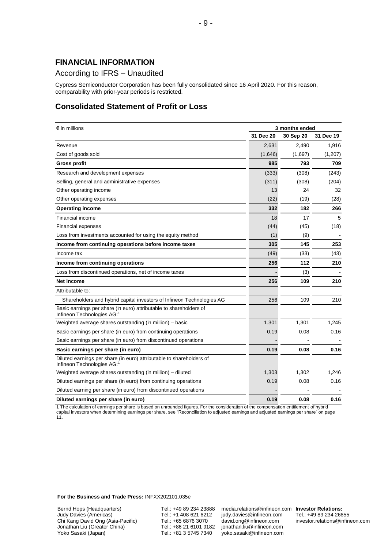### **FINANCIAL INFORMATION**

### According to IFRS – Unaudited

Cypress Semiconductor Corporation has been fully consolidated since 16 April 2020. For this reason, comparability with prior-year periods is restricted.

### **Consolidated Statement of Profit or Loss**

| $\epsilon$ in millions                                                                            | 3 months ended |           |           |
|---------------------------------------------------------------------------------------------------|----------------|-----------|-----------|
|                                                                                                   | 31 Dec 20      | 30 Sep 20 | 31 Dec 19 |
| Revenue                                                                                           | 2,631          | 2,490     | 1,916     |
| Cost of goods sold                                                                                | (1,646)        | (1,697)   | (1,207)   |
| <b>Gross profit</b>                                                                               | 985            | 793       | 709       |
| Research and development expenses                                                                 | (333)          | (308)     | (243)     |
| Selling, general and administrative expenses                                                      | (311)          | (308)     | (204)     |
| Other operating income                                                                            | 13             | 24        | 32        |
| Other operating expenses                                                                          | (22)           | (19)      | (28)      |
| <b>Operating income</b>                                                                           | 332            | 182       | 266       |
| Financial income                                                                                  | 18             | 17        | 5         |
| <b>Financial expenses</b>                                                                         | (44)           | (45)      | (18)      |
| Loss from investments accounted for using the equity method                                       | (1)            | (9)       |           |
| Income from continuing operations before income taxes                                             | 305            | 145       | 253       |
| Income tax                                                                                        | (49)           | (33)      | (43)      |
| Income from continuing operations                                                                 | 256            | 112       | 210       |
| Loss from discontinued operations, net of income taxes                                            |                | (3)       |           |
| Net income                                                                                        | 256            | 109       | 210       |
| Attributable to:                                                                                  |                |           |           |
| Shareholders and hybrid capital investors of Infineon Technologies AG                             | 256            | 109       | 210       |
| Basic earnings per share (in euro) attributable to shareholders of<br>Infineon Technologies AG:1  |                |           |           |
| Weighted average shares outstanding (in million) – basic                                          | 1,301          | 1,301     | 1,245     |
| Basic earnings per share (in euro) from continuing operations                                     | 0.19           | 0.08      | 0.16      |
| Basic earnings per share (in euro) from discontinued operations                                   |                |           |           |
| Basic earnings per share (in euro)                                                                | 0.19           | 0.08      | 0.16      |
| Diluted earnings per share (in euro) attributable to shareholders of<br>Infineon Technologies AG: |                |           |           |
| Weighted average shares outstanding (in million) – diluted                                        | 1,303          | 1,302     | 1,246     |
| Diluted earnings per share (in euro) from continuing operations                                   | 0.19           | 0.08      | 0.16      |
| Diluted earning per share (in euro) from discontinued operations                                  |                |           |           |
| Diluted earnings per share (in euro)                                                              | 0.19           | 0.08      | 0.16      |

1 The calculation of earnings per share is based on unrounded figures. For the consideration of the compensation entitlement of hybrid capital investors when determining earnings per share, see "Reconciliation to adjusted earnings and adjusted earnings per share" on page

11.

**For the Business and Trade Press:** INFXX202101.035e

Bernd Hops (Headquarters) Judy Davies (Americas) Chi Kang David Ong (Asia-Pacific) Jonathan Liu (Greater China) Yoko Sasaki (Japan)

Tel.: +49 89 234 23888 Tel.: +1 408 621 6212 Tel.: +65 6876 3070 Tel.: +86 21 6101 9182 Tel.: +81 3 5745 7340

media.relations@infineon.com **Investor Relations:** judy.davies@infineon.com david.ong@infineon.com jonathan.liu@infineon.com yoko.sasaki@infineon.com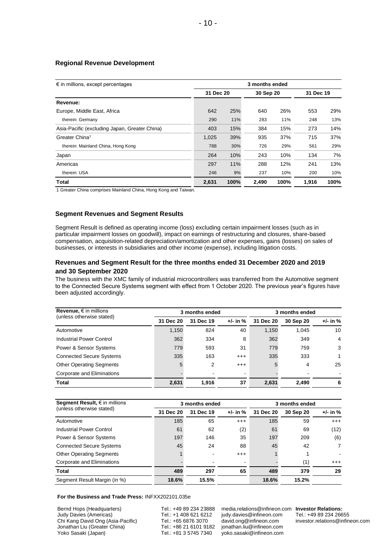#### **Regional Revenue Development**

| $\epsilon$ in millions, except percentages    | 3 months ended |      |           |      |           |      |
|-----------------------------------------------|----------------|------|-----------|------|-----------|------|
|                                               | 31 Dec 20      |      | 30 Sep 20 |      | 31 Dec 19 |      |
| Revenue:                                      |                |      |           |      |           |      |
| Europe, Middle East, Africa                   | 642            | 25%  | 640       | 26%  | 553       | 29%  |
| therein: Germany                              | 290            | 11%  | 283       | 11%  | 248       | 13%  |
| Asia-Pacific (excluding Japan, Greater China) | 403            | 15%  | 384       | 15%  | 273       | 14%  |
| Greater China <sup>1</sup>                    | 1,025          | 39%  | 935       | 37%  | 715       | 37%  |
| therein: Mainland China, Hong Kong            | 788            | 30%  | 726       | 29%  | 561       | 29%  |
| Japan                                         | 264            | 10%  | 243       | 10%  | 134       | 7%   |
| Americas                                      | 297            | 11%  | 288       | 12%  | 241       | 13%  |
| therein: USA                                  | 246            | 9%   | 237       | 10%  | 200       | 10%  |
| Total                                         | 2,631          | 100% | 2.490     | 100% | 1.916     | 100% |

1 Greater China comprises Mainland China, Hong Kong and Taiwan.

#### **Segment Revenues and Segment Results**

Segment Result is defined as operating income (loss) excluding certain impairment losses (such as in particular impairment losses on goodwill), impact on earnings of restructuring and closures, share-based compensation, acquisition-related depreciation/amortization and other expenses, gains (losses) on sales of businesses, or interests in subsidiaries and other income (expense), including litigation costs.

#### **Revenues and Segment Result for the three months ended 31 December 2020 and 2019 and 30 September 2020**

The business with the XMC family of industrial microcontrollers was transferred from the Automotive segment to the Connected Secure Systems segment with effect from 1 October 2020. The previous year's figures have been adjusted accordingly.

| Revenue, $\epsilon$ in millions   |           | 3 months ended |          |           | 3 months ended |              |  |
|-----------------------------------|-----------|----------------|----------|-----------|----------------|--------------|--|
| (unless otherwise stated)         | 31 Dec 20 | 31 Dec 19      | +/- in % | 31 Dec 20 | 30 Sep 20      | $+/-$ in $%$ |  |
| Automotive                        | 1,150     | 824            | 40       | 1,150     | 1.045          | 10           |  |
| Industrial Power Control          | 362       | 334            | 8        | 362       | 349            | 4            |  |
| <b>Power &amp; Sensor Systems</b> | 779       | 593            | 31       | 779       | 759            | 3            |  |
| <b>Connected Secure Systems</b>   | 335       | 163            | $^{+++}$ | 335       | 333            |              |  |
| <b>Other Operating Segments</b>   | 5         | 2              | $^{+++}$ | 5         | 4              | 25           |  |
| Corporate and Eliminations        |           |                |          |           |                |              |  |
| <b>Total</b>                      | 2,631     | 1.916          | 37       | 2,631     | 2.490          | 6            |  |

| Segment Result, $\epsilon$ in millions |           | 3 months ended |                |           | 3 months ended |                |  |
|----------------------------------------|-----------|----------------|----------------|-----------|----------------|----------------|--|
| (unless otherwise stated)              | 31 Dec 20 | 31 Dec 19      | $+/-$ in $%$   | 31 Dec 20 | 30 Sep 20      | +/- in %       |  |
| Automotive                             | 185       | 65             | $^{+++}$       | 185       | 59             | $^{+++}$       |  |
| Industrial Power Control               | 61        | 62             | (2)            | 61        | 69             | (12)           |  |
| Power & Sensor Systems                 | 197       | 146            | 35             | 197       | 209            | (6)            |  |
| <b>Connected Secure Systems</b>        | 45        | 24             | 88             | 45        | 42             | $\overline{7}$ |  |
| <b>Other Operating Segments</b>        |           |                | $^{+++}$       |           |                |                |  |
| Corporate and Eliminations             |           |                | $\blacksquare$ |           | (1)            | $^{+++}$       |  |
| <b>Total</b>                           | 489       | 297            | 65             | 489       | 379            | 29             |  |
| Segment Result Margin (in %)           | 18.6%     | 15.5%          |                | 18.6%     | 15.2%          |                |  |

**For the Business and Trade Press:** INFXX202101.035e

Bernd Hops (Headquarters) Judy Davies (Americas) Chi Kang David Ong (Asia-Pacific) Jonathan Liu (Greater China) Yoko Sasaki (Japan)

Tel.: +49 89 234 23888 Tel.: +1 408 621 6212 Tel.: +65 6876 3070 Tel.: +86 21 6101 9182 Tel.: +81 3 5745 7340

media.relations@infineon.com **Investor Relations:** judy.davies@infineon.com david.ong@infineon.com jonathan.liu@infineon.com yoko.sasaki@infineon.com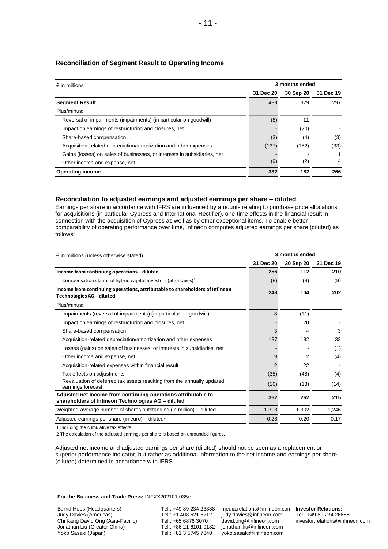| $\epsilon$ in millions                                                   |           | 3 months ended |           |  |  |
|--------------------------------------------------------------------------|-----------|----------------|-----------|--|--|
|                                                                          | 31 Dec 20 | 30 Sep 20      | 31 Dec 19 |  |  |
| <b>Segment Result</b>                                                    | 489       | 379            | 297       |  |  |
| Plus/minus:                                                              |           |                |           |  |  |
| Reversal of impairments (impairments) (in particular on goodwill)        | (8)       | 11             |           |  |  |
| Impact on earnings of restructuring and closures, net                    |           | (20)           |           |  |  |
| Share-based compensation                                                 | (3)       | (4)            | (3)       |  |  |
| Acquisition-related depreciation/amortization and other expenses         | (137)     | (182)          | (33)      |  |  |
| Gains (losses) on sales of businesses, or interests in subsidiaries, net |           |                |           |  |  |
| Other income and expense, net                                            | (9)       | (2)            | 4         |  |  |
| <b>Operating income</b>                                                  | 332       | 182            | 266       |  |  |

### **Reconciliation of Segment Result to Operating Income**

### **Reconciliation to adjusted earnings and adjusted earnings per share – diluted**

Earnings per share in accordance with IFRS are influenced by amounts relating to purchase price allocations for acquisitions (in particular Cypress and International Rectifier), one-time effects in the financial result in connection with the acquisition of Cypress as well as by other exceptional items. To enable better comparability of operating performance over time, Infineon computes adjusted earnings per share (diluted) as follows:

| $\epsilon$ in millions (unless otherwise stated)                                                                     |           | 3 months ended |           |  |  |
|----------------------------------------------------------------------------------------------------------------------|-----------|----------------|-----------|--|--|
|                                                                                                                      | 31 Dec 20 | 30 Sep 20      | 31 Dec 19 |  |  |
| Income from continuing operations - diluted                                                                          | 256       | 112            | 210       |  |  |
| Compensation claims of hybrid capital investors (after taxes) <sup>1</sup>                                           | (8)       | (8)            | (8)       |  |  |
| Income from continuing operations, attributable to shareholders of Infineon<br><b>Technologies AG - diluted</b>      | 248       | 104            | 202       |  |  |
| Plus/minus:                                                                                                          |           |                |           |  |  |
| Impairments (reversal of impairments) (in particular on goodwill)                                                    | 8         | (11)           |           |  |  |
| Impact on earnings of restructuring and closures, net                                                                |           | 20             |           |  |  |
| Share-based compensation                                                                                             | 3         | 4              | 3         |  |  |
| Acquisition-related depreciation/amortization and other expenses                                                     | 137       | 182            | 33        |  |  |
| Losses (gains) on sales of businesses, or interests in subsidiaries, net                                             |           |                | (1)       |  |  |
| Other income and expense, net                                                                                        | 9         | 2              | (4)       |  |  |
| Acquisition-related expenses within financial result                                                                 |           | 22             |           |  |  |
| Tax effects on adjustments                                                                                           | (35)      | (48)           | (4)       |  |  |
| Revaluation of deferred tax assets resulting from the annually updated<br>earnings forecast                          | (10)      | (13)           | (14)      |  |  |
| Adjusted net income from continuing operations attributable to<br>shareholders of Infineon Technologies AG - diluted | 362       | 262            | 215       |  |  |
| Weighted-average number of shares outstanding (in million) – diluted                                                 | 1,303     | 1,302          | 1,246     |  |  |
| Adjusted earnings per share (in euro) – diluted <sup>2</sup>                                                         | 0.28      | 0.20           | 0.17      |  |  |

1 Including the cumulative tax effects.

2 The calculation of the adjusted earnings per share is based on unrounded figures.

Adjusted net income and adjusted earnings per share (diluted) should not be seen as a replacement or superior performance indicator, but rather as additional information to the net income and earnings per share (diluted) determined in accordance with IFRS.

**For the Business and Trade Press:** INFXX202101.035e

Bernd Hops (Headquarters) Judy Davies (Americas) Chi Kang David Ong (Asia-Pacific) Jonathan Liu (Greater China) Yoko Sasaki (Japan)

Tel.: +49 89 234 23888 Tel.: +1 408 621 6212 Tel.: +65 6876 3070 Tel.: +86 21 6101 9182 Tel.: +81 3 5745 7340

media.relations@infineon.com **Investor Relations:** judy.davies@infineon.com david.ong@infineon.com jonathan.liu@infineon.com yoko.sasaki@infineon.com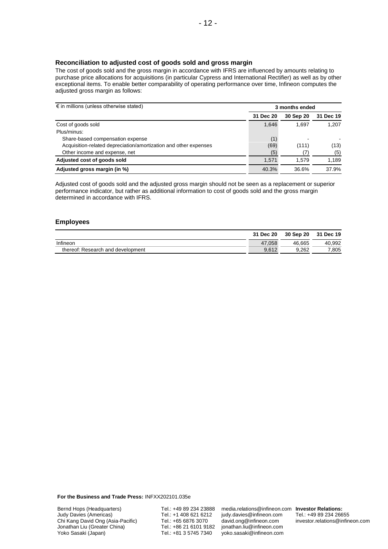### **Reconciliation to adjusted cost of goods sold and gross margin**

The cost of goods sold and the gross margin in accordance with IFRS are influenced by amounts relating to purchase price allocations for acquisitions (in particular Cypress and International Rectifier) as well as by other exceptional items. To enable better comparability of operating performance over time, Infineon computes the adjusted gross margin as follows:

| $\epsilon$ in millions (unless otherwise stated)                 |           | 3 months ended |           |
|------------------------------------------------------------------|-----------|----------------|-----------|
|                                                                  | 31 Dec 20 | 30 Sep 20      | 31 Dec 19 |
| Cost of goods sold                                               | 1,646     | 1.697          | 1,207     |
| Plus/minus:                                                      |           |                |           |
| Share-based compensation expense                                 | (1)       |                |           |
| Acquisition-related depreciation/amortization and other expenses | (69)      | (111)          | (13)      |
| Other income and expense, net                                    | (5)       |                | (5)       |
| Adjusted cost of goods sold                                      | 1.571     | 1.579          | 1.189     |
| Adjusted gross margin (in %)                                     | 40.3%     | 36.6%          | 37.9%     |

Adjusted cost of goods sold and the adjusted gross margin should not be seen as a replacement or superior performance indicator, but rather as additional information to cost of goods sold and the gross margin determined in accordance with IFRS.

#### **Employees**

|                                   | 31 Dec 20 | 30 Sep 20 | 31 Dec 19 |
|-----------------------------------|-----------|-----------|-----------|
| Infineon                          | 47.058    | 46.665    | 40.992    |
| thereof: Research and development | 9.612     | 9.262     | .805      |

**For the Business and Trade Press:** INFXX202101.035e

Tel.: +49 89 234 23888 Tel.: +1 408 621 6212 Tel.: +65 6876 3070 Tel.: +86 21 6101 9182 Tel.: +81 3 5745 7340

media.relations@infineon.com **Investor Relations:** judy.davies@infineon.com david.ong@infineon.com jonathan.liu@infineon.com yoko.sasaki@infineon.com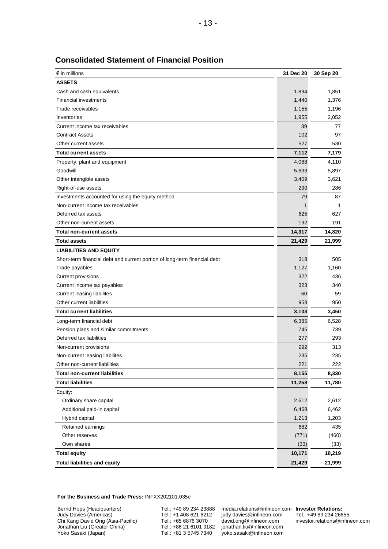| $\epsilon$ in millions                                                    | 31 Dec 20 | 30 Sep 20 |
|---------------------------------------------------------------------------|-----------|-----------|
| <b>ASSETS</b>                                                             |           |           |
| Cash and cash equivalents                                                 | 1,894     | 1,851     |
| <b>Financial investments</b>                                              | 1,440     | 1,376     |
| Trade receivables                                                         | 1,155     | 1,196     |
| Inventories                                                               | 1,955     | 2,052     |
| Current income tax receivables                                            | 39        | 77        |
| <b>Contract Assets</b>                                                    | 102       | 97        |
| Other current assets                                                      | 527       | 530       |
| <b>Total current assets</b>                                               | 7,112     | 7,179     |
| Property, plant and equipment                                             | 4,088     | 4,110     |
| Goodwill                                                                  | 5,633     | 5,897     |
| Other intangible assets                                                   | 3,409     | 3,621     |
| Right-of-use assets                                                       | 290       | 286       |
| Investments accounted for using the equity method                         | 79        | 87        |
| Non-current income tax receivables                                        | 1         | 1         |
| Deferred tax assets                                                       | 625       | 627       |
| Other non-current assets                                                  | 192       | 191       |
| <b>Total non-current assets</b>                                           | 14,317    | 14,820    |
| <b>Total assets</b>                                                       | 21,429    | 21,999    |
| <b>LIABILITIES AND EQUITY</b>                                             |           |           |
| Short-term financial debt and current portion of long-term financial debt | 318       | 505       |
| Trade payables                                                            | 1,127     | 1,160     |
| Current provisions                                                        | 322       | 436       |
| Current income tax payables                                               | 323       | 340       |
| Current leasing liabilites                                                | 60        | 59        |
| Other current liabilities                                                 | 953       | 950       |
| <b>Total current liabilities</b>                                          | 3,103     | 3,450     |
| Long-term financial debt                                                  | 6,385     | 6,528     |
| Pension plans and similar commitments                                     | 745       | 739       |
| Deferred tax liabilities                                                  | 277       | 293       |
| Non-current provisions                                                    | 292       | 313       |
| Non-current leasing liabilites                                            | 235       | 235       |
| Other non-current liabilities                                             | 221       | 222       |
| <b>Total non-current liabilities</b>                                      | 8,155     | 8,330     |
| <b>Total liabilities</b>                                                  | 11,258    | 11,780    |
| Equity:                                                                   |           |           |
| Ordinary share capital                                                    | 2,612     | 2,612     |
| Additional paid-in capital                                                | 6,468     | 6,462     |
| Hybrid capital                                                            | 1,213     | 1,203     |
| Retained earnings                                                         | 682       | 435       |
| Other reserves                                                            | (771)     | (460)     |
| Own shares                                                                | (33)      | (33)      |
| <b>Total equity</b>                                                       | 10,171    | 10,219    |
| <b>Total liabilities and equity</b>                                       | 21,429    | 21,999    |

### **Consolidated Statement of Financial Position**

**For the Business and Trade Press:** INFXX202101.035e

Bernd Hops (Headquarters) Judy Davies (Americas) Chi Kang David Ong (Asia-Pacific) Jonathan Liu (Greater China) Yoko Sasaki (Japan)

Tel.: +49 89 234 23888 Tel.: +1 408 621 6212 Tel.: +65 6876 3070 Tel.: +86 21 6101 9182 Tel.: +81 3 5745 7340

media.relations@infineon.com **Investor Relations:** judy.davies@infineon.com david.ong@infineon.com jonathan.liu@infineon.com yoko.sasaki@infineon.com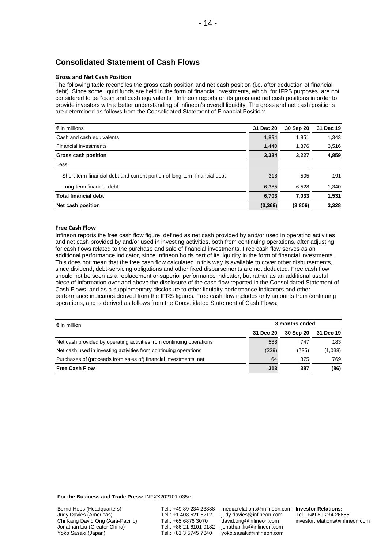# **Consolidated Statement of Cash Flows**

#### **Gross and Net Cash Position**

The following table reconciles the gross cash position and net cash position (i.e. after deduction of financial debt). Since some liquid funds are held in the form of financial investments, which, for IFRS purposes, are not considered to be "cash and cash equivalents", Infineon reports on its gross and net cash positions in order to provide investors with a better understanding of Infineon's overall liquidity. The gross and net cash positions are determined as follows from the Consolidated Statement of Financial Position:

| $\epsilon$ in millions                                                    | 31 Dec 20 | 30 Sep 20 | 31 Dec 19 |
|---------------------------------------------------------------------------|-----------|-----------|-----------|
| Cash and cash equivalents                                                 | 1,894     | 1,851     | 1,343     |
| <b>Financial investments</b>                                              | 1,440     | 1,376     | 3,516     |
| Gross cash position                                                       | 3,334     | 3,227     | 4,859     |
| Less:                                                                     |           |           |           |
| Short-term financial debt and current portion of long-term financial debt | 318       | 505       | 191       |
| Long-term financial debt                                                  | 6,385     | 6,528     | 1,340     |
| <b>Total financial debt</b>                                               | 6,703     | 7,033     | 1,531     |
| Net cash position                                                         | (3,369)   | (3,806)   | 3,328     |

#### **Free Cash Flow**

Infineon reports the free cash flow figure, defined as net cash provided by and/or used in operating activities and net cash provided by and/or used in investing activities, both from continuing operations, after adjusting for cash flows related to the purchase and sale of financial investments. Free cash flow serves as an additional performance indicator, since Infineon holds part of its liquidity in the form of financial investments. This does not mean that the free cash flow calculated in this way is available to cover other disbursements, since dividend, debt-servicing obligations and other fixed disbursements are not deducted. Free cash flow should not be seen as a replacement or superior performance indicator, but rather as an additional useful piece of information over and above the disclosure of the cash flow reported in the Consolidated Statement of Cash Flows, and as a supplementary disclosure to other liquidity performance indicators and other performance indicators derived from the IFRS figures. Free cash flow includes only amounts from continuing operations, and is derived as follows from the Consolidated Statement of Cash Flows:

| $\epsilon$ in million                                                | 3 months ended |           |           |
|----------------------------------------------------------------------|----------------|-----------|-----------|
|                                                                      | 31 Dec 20      | 30 Sep 20 | 31 Dec 19 |
| Net cash provided by operating activities from continuing operations | 588            | 747       | 183       |
| Net cash used in investing activities from continuing operations     | (339)          | (735)     | (1,038)   |
| Purchases of (proceeds from sales of) financial investments, net     | 64             | 375       | 769       |
| <b>Free Cash Flow</b>                                                | 313            | 387       | (86)      |

**For the Business and Trade Press:** INFXX202101.035e

Tel.: +49 89 234 23888 Tel.: +1 408 621 6212 Tel.: +65 6876 3070 Tel.: +86 21 6101 9182 Tel.: +81 3 5745 7340

media.relations@infineon.com **Investor Relations:** judy.davies@infineon.com david.ong@infineon.com jonathan.liu@infineon.com yoko.sasaki@infineon.com